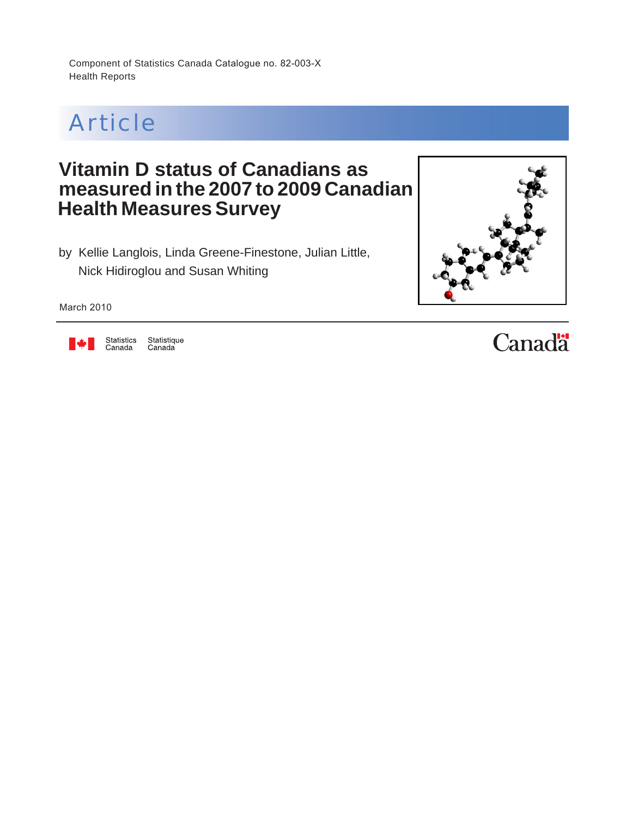Component of Statistics Canada Catalogue no. 82-003-X Health Reports



## **Vitamin D status of Canadians as measured in the 2007 to 2009 Canadian Health Measures Survey**

by Kellie Langlois, Linda Greene-Finestone, Julian Little, Nick Hidiroglou and Susan Whiting



March 2010



Statistics<br>Canada Statistique<br>Canada **Canadä**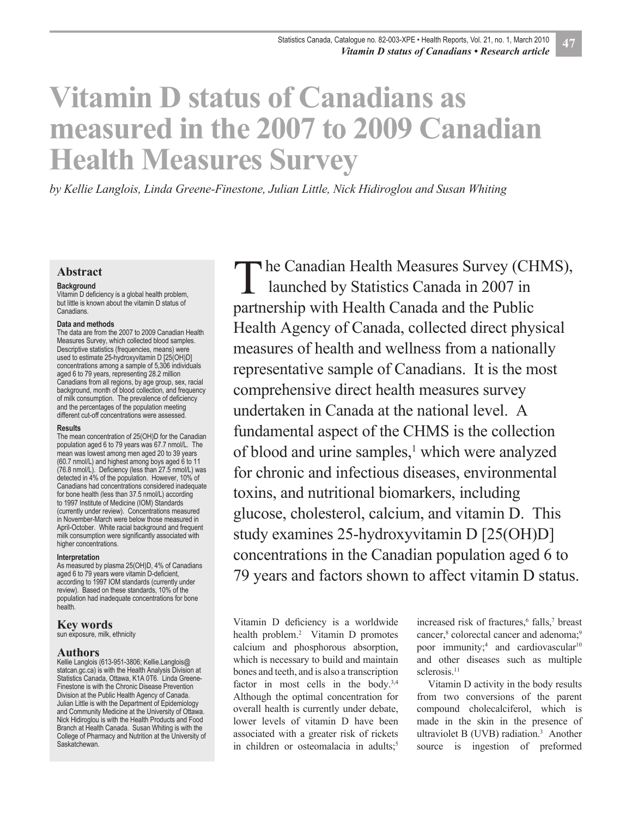# **Vitamin D status of Canadians as measured in the 2007 to 2009 Canadian Health Measures Survey**

*by Kellie Langlois, Linda Greene-Finestone, Julian Little, Nick Hidiroglou and Susan Whiting*

#### **Abstract**

#### **Background**

Vitamin D deficiency is a global health problem, but little is known about the vitamin D status of Canadians.

#### **Data and methods**

The data are from the 2007 to 2009 Canadian Health Measures Survey, which collected blood samples. Descriptive statistics (frequencies, means) were used to estimate 25-hydroxyvitamin D [25(OH)D] concentrations among a sample of 5,306 individuals aged 6 to 79 years, representing 28.2 million Canadians from all regions, by age group, sex, racial background, month of blood collection, and frequency of milk consumption. The prevalence of deficiency and the percentages of the population meeting different cut-off concentrations were assessed.

#### **Results**

The mean concentration of 25(OH)D for the Canadian population aged 6 to 79 years was 67.7 nmol/L. The mean was lowest among men aged 20 to 39 years (60.7 nmol/L) and highest among boys aged 6 to 11 (76.8 nmol/L). Deficiency (less than 27.5 nmol/L) was detected in 4% of the population. However, 10% of Canadians had concentrations considered inadequate for bone health (less than 37.5 nmol/L) according to 1997 Institute of Medicine (IOM) Standards (currently under review). Concentrations measured in November-March were below those measured in April-October. White racial background and frequent milk consumption were significantly associated with higher concentrations.

#### **Interpretation**

As measured by plasma 25(OH)D, 4% of Canadians aged 6 to 79 years were vitamin D-deficient, according to 1997 IOM standards (currently under review). Based on these standards, 10% of the population had inadequate concentrations for bone health.

#### **Key words**

sun exposure, milk, ethnicity

#### **Authors**

Kellie Langlois (613-951-3806; Kellie.Langlois@ statcan.gc.ca) is with the Health Analysis Division at Statistics Canada, Ottawa, K1A 0T6. Linda Greene-Finestone is with the Chronic Disease Prevention Division at the Public Health Agency of Canada. Julian Little is with the Department of Epidemiology and Community Medicine at the University of Ottawa. Nick Hidiroglou is with the Health Products and Food Branch at Health Canada. Susan Whiting is with the College of Pharmacy and Nutrition at the University of Saskatchewan.

The Canadian Health Measures Survey (CHMS),<br>
launched by Statistics Canada in 2007 in launched by Statistics Canada in 2007 in partnership with Health Canada and the Public Health Agency of Canada, collected direct physical measures of health and wellness from a nationally representative sample of Canadians. It is the most comprehensive direct health measures survey undertaken in Canada at the national level. A fundamental aspect of the CHMS is the collection of blood and urine samples,<sup>1</sup> which were analyzed for chronic and infectious diseases, environmental toxins, and nutritional biomarkers, including glucose, cholesterol, calcium, and vitamin D. This study examines 25-hydroxyvitamin D [25(OH)D] concentrations in the Canadian population aged 6 to 79 years and factors shown to affect vitamin D status.

Vitamin D deficiency is a worldwide health problem.<sup>2</sup> Vitamin D promotes calcium and phosphorous absorption, which is necessary to build and maintain bones and teeth, and is also a transcription factor in most cells in the body.<sup>3,4</sup> Although the optimal concentration for overall health is currently under debate, lower levels of vitamin D have been associated with a greater risk of rickets in children or osteomalacia in adults: $5$ 

increased risk of fractures,<sup>6</sup> falls,<sup>7</sup> breast cancer,<sup>8</sup> colorectal cancer and adenoma;<sup>9</sup> poor immunity;<sup>4</sup> and cardiovascular<sup>10</sup> and other diseases such as multiple sclerosis.<sup>11</sup>

Vitamin D activity in the body results from two conversions of the parent compound cholecalciferol, which is made in the skin in the presence of ultraviolet B (UVB) radiation.<sup>3</sup> Another source is ingestion of preformed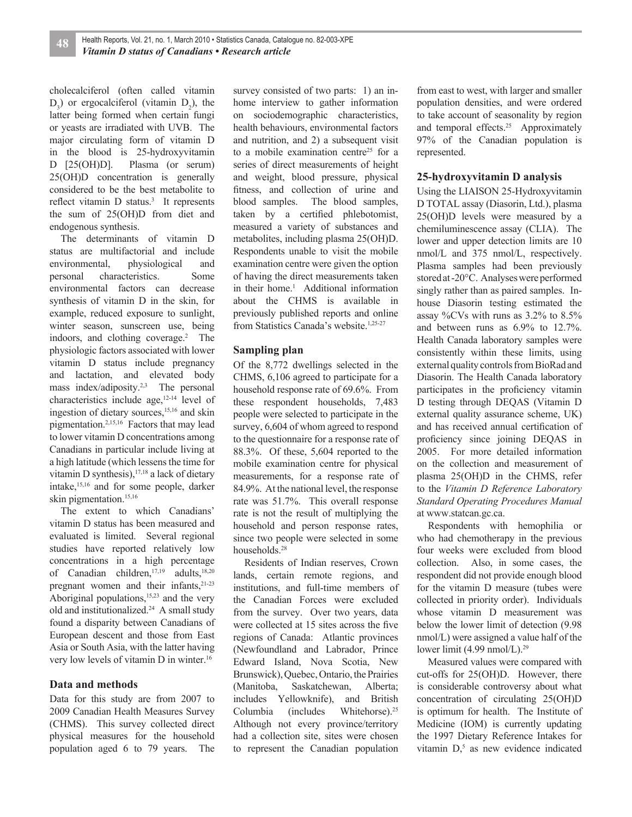cholecalciferol (often called vitamin  $D_3$ ) or ergocalciferol (vitamin  $D_2$ ), the latter being formed when certain fungi or yeasts are irradiated with UVB. The major circulating form of vitamin D in the blood is 25-hydroxyvitamin D [25(OH)D]. Plasma (or serum) 25(OH)D concentration is generally considered to be the best metabolite to reflect vitamin  $D$  status.<sup>3</sup> It represents the sum of 25(OH)D from diet and endogenous synthesis.

The determinants of vitamin D status are multifactorial and include environmental, physiological and personal characteristics. Some environmental factors can decrease synthesis of vitamin D in the skin, for example, reduced exposure to sunlight, winter season, sunscreen use, being indoors, and clothing coverage.<sup>2</sup> The physiologic factors associated with lower vitamin D status include pregnancy and lactation, and elevated body mass index/adiposity.<sup>2,3</sup> The personal characteristics include age,12-14 level of ingestion of dietary sources,<sup>15,16</sup> and skin pigmentation.2,15,16 Factors that may lead to lower vitamin D concentrations among Canadians in particular include living at a high latitude (which lessens the time for vitamin D synthesis), $17,18$  a lack of dietary intake,15,16 and for some people, darker skin pigmentation.<sup>15,16</sup>

The extent to which Canadians' vitamin D status has been measured and evaluated is limited. Several regional studies have reported relatively low concentrations in a high percentage of Canadian children,<sup>17,19</sup> adults,<sup>18,20</sup> pregnant women and their infants, $21-23$ Aboriginal populations, $15,23$  and the very old and institutionalized.<sup>24</sup> A small study found a disparity between Canadians of European descent and those from East Asia or South Asia, with the latter having very low levels of vitamin D in winter.16

#### **Data and methods**

Data for this study are from 2007 to 2009 Canadian Health Measures Survey (CHMS). This survey collected direct physical measures for the household population aged 6 to 79 years. The

survey consisted of two parts: 1) an inhome interview to gather information on sociodemographic characteristics, health behaviours, environmental factors and nutrition, and 2) a subsequent visit to a mobile examination centre<sup>25</sup> for a series of direct measurements of height and weight, blood pressure, physical fitness, and collection of urine and blood samples. The blood samples, taken by a certified phlebotomist, measured a variety of substances and metabolites, including plasma 25(OH)D. Respondents unable to visit the mobile examination centre were given the option of having the direct measurements taken in their home.<sup>1</sup> Additional information about the CHMS is available in previously published reports and online from Statistics Canada's website.1,25-27

#### **Sampling plan**

Of the 8,772 dwellings selected in the CHMS, 6,106 agreed to participate for a household response rate of 69.6%. From these respondent households, 7,483 people were selected to participate in the survey, 6,604 of whom agreed to respond to the questionnaire for a response rate of 88.3%. Of these, 5,604 reported to the mobile examination centre for physical measurements, for a response rate of 84.9%. At the national level, the response rate was 51.7%. This overall response rate is not the result of multiplying the household and person response rates, since two people were selected in some households.<sup>28</sup>

Residents of Indian reserves, Crown lands, certain remote regions, and institutions, and full-time members of the Canadian Forces were excluded from the survey. Over two years, data were collected at 15 sites across the five regions of Canada: Atlantic provinces (Newfoundland and Labrador, Prince Edward Island, Nova Scotia, New Brunswick), Quebec, Ontario, the Prairies (Manitoba, Saskatchewan, Alberta; includes Yellowknife), and British Columbia (includes Whitehorse).<sup>25</sup> Although not every province/territory had a collection site, sites were chosen to represent the Canadian population from east to west, with larger and smaller population densities, and were ordered to take account of seasonality by region and temporal effects.<sup>25</sup> Approximately 97% of the Canadian population is represented.

#### **25-hydroxyvitamin D analysis**

Using the LIAISON 25-Hydroxyvitamin D TOTAL assay (Diasorin, Ltd.), plasma 25(OH)D levels were measured by a chemiluminescence assay (CLIA). The lower and upper detection limits are 10 nmol/L and 375 nmol/L, respectively. Plasma samples had been previously stored at -20°C. Analyses were performed singly rather than as paired samples. Inhouse Diasorin testing estimated the assay %CVs with runs as 3.2% to 8.5% and between runs as 6.9% to 12.7%. Health Canada laboratory samples were consistently within these limits, using external quality controls from BioRad and Diasorin. The Health Canada laboratory participates in the proficiency vitamin D testing through DEQAS (Vitamin D external quality assurance scheme, UK) and has received annual certification of proficiency since joining DEQAS in 2005. For more detailed information on the collection and measurement of plasma 25(OH)D in the CHMS, refer to the *Vitamin D Reference Laboratory Standard Operating Procedures Manual* at www.statcan.gc.ca.

Respondents with hemophilia or who had chemotherapy in the previous four weeks were excluded from blood collection. Also, in some cases, the respondent did not provide enough blood for the vitamin D measure (tubes were collected in priority order). Individuals whose vitamin D measurement was below the lower limit of detection (9.98 nmol/L) were assigned a value half of the lower limit  $(4.99 \text{ nmol/L})$ .<sup>29</sup>

Measured values were compared with cut-offs for 25(OH)D. However, there is considerable controversy about what concentration of circulating 25(OH)D is optimum for health. The Institute of Medicine (IOM) is currently updating the 1997 Dietary Reference Intakes for vitamin  $D<sub>1</sub>$ <sup>5</sup> as new evidence indicated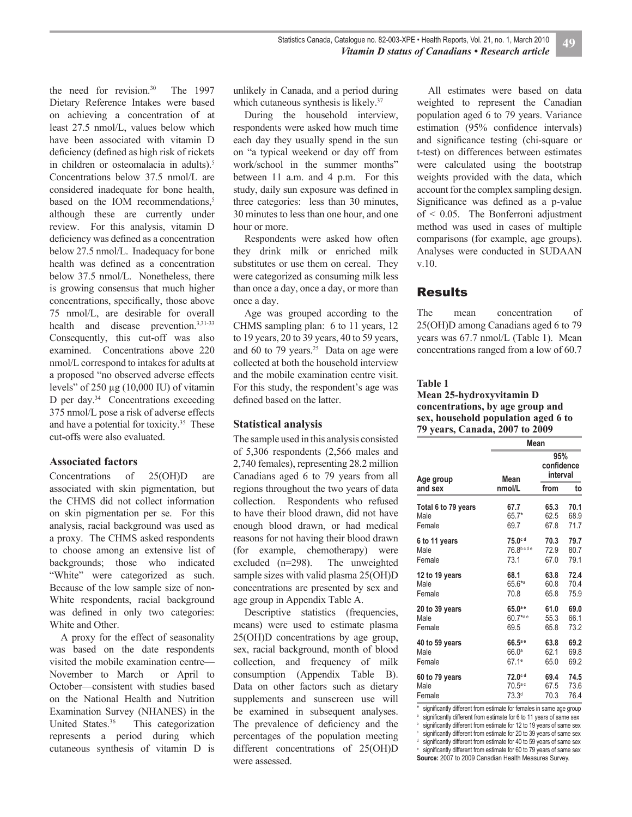the need for revision.<sup>30</sup> The 1997 Dietary Reference Intakes were based on achieving a concentration of at least 27.5 nmol/L, values below which have been associated with vitamin D deficiency (defined as high risk of rickets in children or osteomalacia in adults).<sup>5</sup> Concentrations below 37.5 nmol/L are considered inadequate for bone health, based on the IOM recommendations,<sup>5</sup> although these are currently under review. For this analysis, vitamin D deficiency was defined as a concentration below 27.5 nmol/L. Inadequacy for bone health was defined as a concentration below 37.5 nmol/L. Nonetheless, there is growing consensus that much higher concentrations, specifically, those above 75 nmol/L, are desirable for overall health and disease prevention.3,31-33 Consequently, this cut-off was also examined. Concentrations above 220 nmol/L correspond to intakes for adults at a proposed "no observed adverse effects levels" of 250 μg (10,000 IU) of vitamin D per day.<sup>34</sup> Concentrations exceeding 375 nmol/L pose a risk of adverse effects and have a potential for toxicity.35 These cut-offs were also evaluated.

#### **Associated factors**

Concentrations of 25(OH)D are associated with skin pigmentation, but the CHMS did not collect information on skin pigmentation per se. For this analysis, racial background was used as a proxy. The CHMS asked respondents to choose among an extensive list of backgrounds; those who indicated "White" were categorized as such. Because of the low sample size of non-White respondents, racial background was defined in only two categories: White and Other.

A proxy for the effect of seasonality was based on the date respondents visited the mobile examination centre— November to March or April to October—consistent with studies based on the National Health and Nutrition Examination Survey (NHANES) in the United States.<sup>36</sup> This categorization represents a period during which cutaneous synthesis of vitamin D is

unlikely in Canada, and a period during which cutaneous synthesis is likely.<sup>37</sup>

During the household interview. respondents were asked how much time each day they usually spend in the sun on "a typical weekend or day off from work/school in the summer months" between 11 a.m. and 4 p.m. For this study, daily sun exposure was defined in three categories: less than 30 minutes, 30 minutes to less than one hour, and one hour or more.

Respondents were asked how often they drink milk or enriched milk substitutes or use them on cereal. They were categorized as consuming milk less than once a day, once a day, or more than once a day.

Age was grouped according to the CHMS sampling plan: 6 to 11 years, 12 to 19 years, 20 to 39 years, 40 to 59 years, and 60 to 79 years. $25$  Data on age were collected at both the household interview and the mobile examination centre visit. For this study, the respondent's age was defined based on the latter.

#### **Statistical analysis**

The sample used in this analysis consisted of 5,306 respondents (2,566 males and 2,740 females), representing 28.2 million Canadians aged 6 to 79 years from all regions throughout the two years of data collection. Respondents who refused to have their blood drawn, did not have enough blood drawn, or had medical reasons for not having their blood drawn (for example, chemotherapy) were excluded (n=298). The unweighted sample sizes with valid plasma 25(OH)D concentrations are presented by sex and age group in Appendix Table A.

Descriptive statistics (frequencies, means) were used to estimate plasma 25(OH)D concentrations by age group, sex, racial background, month of blood collection, and frequency of milk consumption (Appendix Table B). Data on other factors such as dietary supplements and sunscreen use will be examined in subsequent analyses. The prevalence of deficiency and the percentages of the population meeting different concentrations of 25(OH)D were assessed.

All estimates were based on data weighted to represent the Canadian population aged 6 to 79 years. Variance estimation (95% confidence intervals) and significance testing (chi-square or t-test) on differences between estimates were calculated using the bootstrap weights provided with the data, which account for the complex sampling design. Significance was defined as a p-value of < 0.05. The Bonferroni adjustment method was used in cases of multiple comparisons (for example, age groups). Analyses were conducted in SUDAAN v.10.

#### Results

The mean concentration of 25(OH)D among Canadians aged 6 to 79 years was 67.7 nmol/L (Table 1). Mean concentrations ranged from a low of 60.7

#### **Table 1**

#### **Mean 25-hydroxyvitamin D concentrations, by age group and sex, household population aged 6 to 79 years, Canada, 2007 to 2009**

|                     | Mean              |                               |      |  |  |  |  |  |  |  |
|---------------------|-------------------|-------------------------------|------|--|--|--|--|--|--|--|
| Age group           | Mean              | 95%<br>confidence<br>interval |      |  |  |  |  |  |  |  |
| and sex             | nmol/L            | from                          | to   |  |  |  |  |  |  |  |
| Total 6 to 79 years | 67.7              | 65.3                          | 70.1 |  |  |  |  |  |  |  |
| Male                | 65.7*             | 62.5                          | 68.9 |  |  |  |  |  |  |  |
| Female              | 69.7              | 67.8                          | 71.7 |  |  |  |  |  |  |  |
| 6 to 11 years       | 75.0cd            | 70.3                          | 79.7 |  |  |  |  |  |  |  |
| Male                | 76.8bcde          | 72.9                          | 80.7 |  |  |  |  |  |  |  |
| Female              | 73.1              | 67.0                          | 79.1 |  |  |  |  |  |  |  |
| 12 to 19 years      | 68.1              | 63.8                          | 72.4 |  |  |  |  |  |  |  |
| Male                | $65.6*$           | 60.8                          | 70.4 |  |  |  |  |  |  |  |
| Female              | 70.8              | 65.8                          | 75.9 |  |  |  |  |  |  |  |
| 20 to 39 years      | $65.0^{\circ}$    | 61.0                          | 69.0 |  |  |  |  |  |  |  |
| Male                | 60.7*ae           | 55.3                          | 66.1 |  |  |  |  |  |  |  |
| Female              | 69.5              | 65.8                          | 73.2 |  |  |  |  |  |  |  |
| 40 to 59 years      | 66.5ae            | 63.8                          | 69.2 |  |  |  |  |  |  |  |
| Male                | 66.0 <sup>a</sup> | 62.1                          | 69.8 |  |  |  |  |  |  |  |
| Female              | $67.1^e$          | 65.0                          | 69.2 |  |  |  |  |  |  |  |
| 60 to 79 years      | 72.0cd            | 69.4                          | 74.5 |  |  |  |  |  |  |  |
| Male                | 70.5ªc            | 67.5                          | 73.6 |  |  |  |  |  |  |  |
| Female              | 73.3 <sup>d</sup> | 70.3                          | 76.4 |  |  |  |  |  |  |  |

significantly different from estimate for females in same age group

<sup>a</sup> significantly different from estimate for 6 to 11 years of same sex significantly different from estimate for 12 to 19 years of same sex

significantly different from estimate for 20 to 39 years of same sex

d significantly different from estimate for 40 to 59 years of same sex

<sup>e</sup> significantly different from estimate for 60 to 79 years of same sex

**Source:** 2007 to 2009 Canadian Health Measures Survey.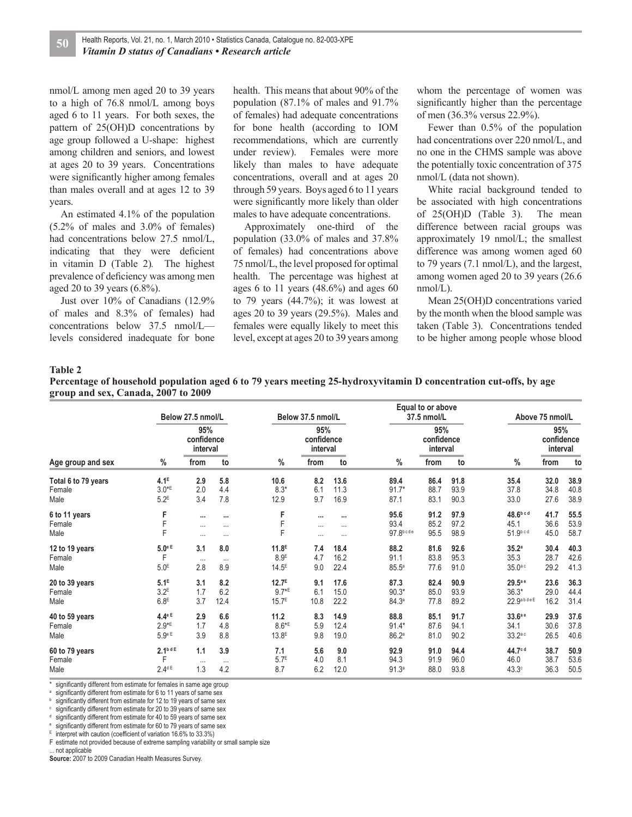nmol/L among men aged 20 to 39 years to a high of 76.8 nmol/L among boys aged 6 to 11 years. For both sexes, the pattern of 25(OH)D concentrations by age group followed a U-shape: highest among children and seniors, and lowest at ages 20 to 39 years. Concentrations were significantly higher among females than males overall and at ages 12 to 39 years.

An estimated 4.1% of the population (5.2% of males and 3.0% of females) had concentrations below 27.5 nmol/L, indicating that they were deficient in vitamin D (Table 2)*.* The highest prevalence of deficiency was among men aged 20 to 39 years (6.8%).

Just over 10% of Canadians (12.9% of males and 8.3% of females) had concentrations below 37.5 nmol/L levels considered inadequate for bone health. This means that about 90% of the population (87.1% of males and 91.7% of females) had adequate concentrations for bone health (according to IOM recommendations, which are currently under review). Females were more likely than males to have adequate concentrations, overall and at ages 20 through 59 years. Boys aged 6 to 11 years were significantly more likely than older males to have adequate concentrations.

Approximately one-third of the population (33.0% of males and 37.8% of females) had concentrations above 75 nmol/L, the level proposed for optimal health. The percentage was highest at ages 6 to 11 years  $(48.6%)$  and ages 60 to 79 years (44.7%); it was lowest at ages 20 to 39 years (29.5%). Males and females were equally likely to meet this level, except at ages 20 to 39 years among whom the percentage of women was significantly higher than the percentage of men (36.3% versus 22.9%).

Fewer than 0.5% of the population had concentrations over 220 nmol/L, and no one in the CHMS sample was above the potentially toxic concentration of 375 nmol/L (data not shown).

White racial background tended to be associated with high concentrations of 25(OH)D (Table 3). The mean difference between racial groups was approximately 19 nmol/L; the smallest difference was among women aged 60 to 79 years (7.1 nmol/L), and the largest, among women aged 20 to 39 years (26.6 nmol/L).

Mean 25(OH)D concentrations varied by the month when the blood sample was taken (Table 3). Concentrations tended to be higher among people whose blood

#### **Table 2**

| Percentage of household population aged 6 to 79 years meeting 25-hydroxyvitamin D concentration cut-offs, by age |  |
|------------------------------------------------------------------------------------------------------------------|--|
| group and sex, Canada, 2007 to 2009                                                                              |  |

|                     |                      | Below 27.5 nmol/L             |          |                     | Below 37.5 nmol/L             |          |                   | Equal to or above<br>37.5 nmol/L | Above 75 nmol/L |                       |                               |      |
|---------------------|----------------------|-------------------------------|----------|---------------------|-------------------------------|----------|-------------------|----------------------------------|-----------------|-----------------------|-------------------------------|------|
| Age group and sex   |                      | 95%<br>confidence<br>interval |          |                     | 95%<br>confidence<br>interval |          |                   | 95%<br>confidence<br>interval    |                 |                       | 95%<br>confidence<br>interval |      |
|                     | %                    | from                          | to       | $\frac{0}{0}$       | from                          | to       | $\%$              | from                             | to              | $\%$                  | from                          | to   |
| Total 6 to 79 years | 4.1 <sup>E</sup>     | 2.9                           | 5.8      | 10.6                | 8.2                           | 13.6     | 89.4              | 86.4                             | 91.8            | 35.4                  | 32.0                          | 38.9 |
| Female              | $3.0*$               | 2.0                           | 4.4      | $8.3*$              | 6.1                           | 11.3     | $91.7*$           | 88.7                             | 93.9            | 37.8                  | 34.8                          | 40.8 |
| Male                | $5.2^E$              | 3.4                           | 7.8      | 12.9                | 9.7                           | 16.9     | 87.1              | 83.1                             | 90.3            | 33.0                  | 27.6                          | 38.9 |
| 6 to 11 years       | F                    | $\cdots$                      | $\cdots$ | F                   |                               | $\cdots$ | 95.6              | 91.2                             | 97.9            | 48.6 <sup>b c d</sup> | 41.7                          | 55.5 |
| Female              | F                    | $\cdots$                      | $\cdots$ | F                   | $\cdots$                      | $\cdots$ | 93.4              | 85.2                             | 97.2            | 45.1                  | 36.6                          | 53.9 |
| Male                | F                    | $\cdots$                      | $\cdots$ | F                   | $\cdots$                      | $\cdots$ | 97.8bcde          | 95.5                             | 98.9            | 51.9bcd               | 45.0                          | 58.7 |
| 12 to 19 years      | 5.0eE                | 3.1                           | 8.0      | 11.8 <sup>E</sup>   | 7.4                           | 18.4     | 88.2              | 81.6                             | 92.6            | 35.2a                 | 30.4                          | 40.3 |
| Female              | F                    | $\cdots$                      | $\cdots$ | 8.9 <sup>E</sup>    | 4.7                           | 16.2     | 91.1              | 83.8                             | 95.3            | 35.3                  | 28.7                          | 42.6 |
| Male                | 5.0 <sup>E</sup>     | 2.8                           | 8.9      | $14.5^E$            | 9.0                           | 22.4     | 85.5a             | 77.6                             | 91.0            | $35.0a$ c             | 29.2                          | 41.3 |
| 20 to 39 years      | 5.1 <sup>E</sup>     | 3.1                           | 8.2      | 12.7 <sup>E</sup>   | 9.1                           | 17.6     | 87.3              | 82.4                             | 90.9            | 29.5ª e               | 23.6                          | 36.3 |
| Female              | $3.2^E$              | 1.7                           | 6.2      | $9.7*$ <sup>E</sup> | 6.1                           | 15.0     | $90.3*$           | 85.0                             | 93.9            | $36.3*$               | 29.0                          | 44.4 |
| Male                | 6.8 <sup>E</sup>     | 3.7                           | 12.4     | $15.7^{E}$          | 10.8                          | 22.2     | 84.3 <sup>a</sup> | 77.8                             | 89.2            | 22.9abdeE             | 16.2                          | 31.4 |
| 40 to 59 years      | 4.4eE                | 2.9                           | 6.6      | 11.2                | 8.3                           | 14.9     | 88.8              | 85.1                             | 91.7            | 33.6ae                | 29.9                          | 37.6 |
| Female              | $2.9*E$              | 1.7                           | 4.8      | $8.6*$ E            | 5.9                           | 12.4     | $91.4*$           | 87.6                             | 94.1            | 34.1                  | 30.6                          | 37.8 |
| Male                | 5.9eE                | 3.9                           | 8.8      | 13.8 <sup>E</sup>   | 9.8                           | 19.0     | 86.2a             | 81.0                             | 90.2            | $33.2a$ c             | 26.5                          | 40.6 |
| 60 to 79 years      | 2.1 <sup>b d E</sup> | 1.1                           | 3.9      | 7.1                 | 5.6                           | 9.0      | 92.9              | 91.0                             | 94.4            | 44.7cd                | 38.7                          | 50.9 |
| Female              | F                    | $\cdots$                      | $\cdots$ | 5.7 <sup>E</sup>    | 4.0                           | 8.1      | 94.3              | 91.9                             | 96.0            | 46.0                  | 38.7                          | 53.6 |
| Male                | $2.4$ <sup>dE</sup>  | 1.3                           | 4.2      | 8.7                 | 6.2                           | 12.0     | 91.3 <sup>a</sup> | 88.0                             | 93.8            | 43.3 <sup>c</sup>     | 36.3                          | 50.5 |

significantly different from estimate for females in same age group

a significantly different from estimate for 6 to 11 years of same sex b

significantly different from estimate for 12 to 19 years of same sex c significantly different from estimate for 20 to 39 years of same sex

d significantly different from estimate for 40 to 59 years of same sex

e significantly different from estimate for 60 to 79 years of same sex

E interpret with caution (coefficient of variation 16.6% to 33.3%)

F estimate not provided because of extreme sampling variability or small sample size

. not applicable

**Source:** 2007 to 2009 Canadian Health Measures Survey.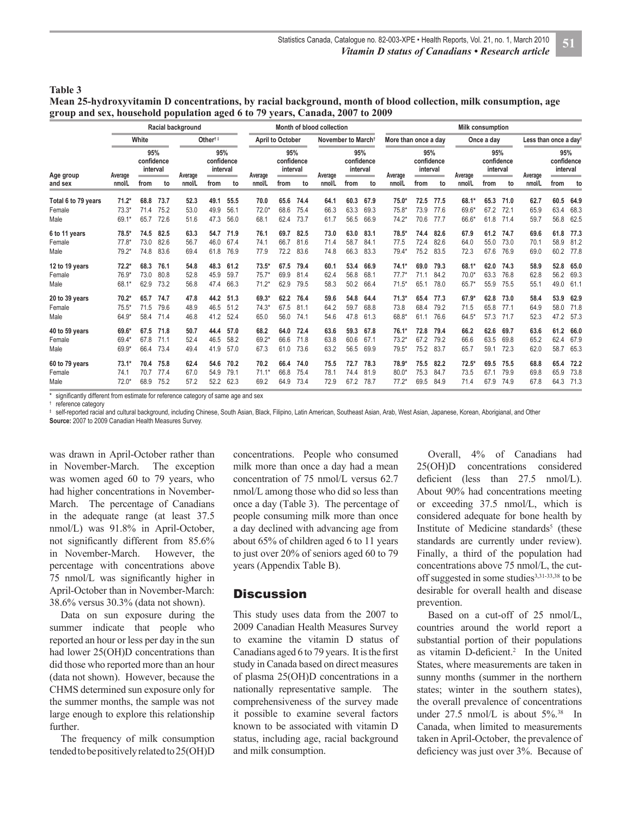#### **Table 3**

**Mean 25-hydroxyvitamin D concentrations, by racial background, month of blood collection, milk consumption, age group and sex, household population aged 6 to 79 years, Canada, 2007 to 2009** 

|                     |         | Racial background             |      | Month of blood collection | <b>Milk consumption</b>       |      |                |                               |      |         |                                |                                     |         |                               |        |         |                               |        |         |                                   |      |  |
|---------------------|---------|-------------------------------|------|---------------------------|-------------------------------|------|----------------|-------------------------------|------|---------|--------------------------------|-------------------------------------|---------|-------------------------------|--------|---------|-------------------------------|--------|---------|-----------------------------------|------|--|
|                     |         | White                         |      |                           | Other <sup>†‡</sup>           |      |                | <b>April to October</b>       |      |         | November to March <sup>+</sup> |                                     |         | More than once a day          |        |         | Once a day                    |        |         | Less than once a day <sup>t</sup> |      |  |
| Age group           | Average | 95%<br>confidence<br>interval |      | Average                   | 95%<br>confidence<br>interval |      | Average        | 95%<br>confidence<br>interval |      | Average |                                | 95%<br>confidence<br>interval<br>-- | Average | 95%<br>confidence<br>interval |        | Average | 95%<br>confidence<br>interval |        | Average | 95%<br>confidence<br>interval     |      |  |
| and sex             | nmol/L  | from                          | to   | nmol/L                    | from                          | to   | nmol/L         | from                          | to   | nmol/L  | to<br>from                     | nmol/L                              | from    | to                            | nmol/L | from    | to                            | nmol/L | from    | to                                |      |  |
| Total 6 to 79 years | $71.2*$ | 68.8                          | 73.7 | 52.3                      | 49.1                          | 55.5 | 70.0           | 65.6                          | 74.4 | 64.1    | 60.3                           | 67.9                                | $75.0*$ | 72.5                          | 77.5   | 68.1*   | 65.3                          | 71.0   | 62.7    | 60.5                              | 64.9 |  |
| Female              | $73.3*$ | 71.4                          | 75.2 | 53.0                      | 49.9                          | 56.1 | $72.0^{\circ}$ | 68.6                          | 75.4 | 66.3    | 63.3                           | 69.3                                | $75.8*$ | 73.9                          | 77.6   | 69.6*   | 67.2                          | 72.1   | 65.9    | 63.4                              | 68.3 |  |
| Male                | 69.1*   | 65.7                          | 72.6 | 51.6                      | 47.3                          | 56.0 | 68.1           | 62.4                          | 73.7 | 61.7    | 56.5                           | 66.9                                | $74.2*$ | 70.6                          | 77.7   | 66.6*   | 61.8                          | 71.4   | 59.7    | 56.8                              | 62.5 |  |
| 6 to 11 years       | $78.5*$ | 74.5                          | 82.5 | 63.3                      | 54.7                          | 71.9 | 76.1           | 69.7                          | 82.5 | 73.0    | 63.0                           | 83.1                                | $78.5*$ | 74.4                          | 82.6   | 67.9    | 61.2                          | 74.7   | 69.6    | 61.8                              | 77.3 |  |
| Female              | $77.8*$ | 73.0                          | 82.6 | 56.7                      | 46.0                          | 67.4 | 74.1           | 66.7                          | 81.6 | 71.4    | 58.7                           | 84.1                                | 77.5    | 72.4                          | 82.6   | 64.0    | 55.0                          | 73.0   | 70.1    | 58.9                              | 81.2 |  |
| Male                | $79.2*$ | 74.8                          | 83.6 | 69.4                      | 61.8                          | 76.9 | 77.9           | 72.2                          | 83.6 | 74.8    | 66.3                           | 83.3                                | $79.4*$ | 75.2                          | 83.5   | 72.3    | 67.6                          | 76.9   | 69.0    | 60.2                              | 77.8 |  |
| 12 to 19 years      | $72.2*$ | 68.3                          | 76.1 | 54.8                      | 48.3                          | 61.2 | $73.5*$        | 67.5                          | 79.4 | 60.1    | 53.4                           | 66.9                                | $74.1*$ | 69.0                          | 79.3   | 68.1*   | 62.0                          | 74.3   | 58.9    | 52.8                              | 65.0 |  |
| Female              | 76.9*   | 73.0                          | 80.8 | 52.8                      | 45.9                          | 59.7 | $75.7*$        | 69.9                          | 81.4 | 62.4    | 56.8                           | 68.1                                | $77.7*$ | 71.1                          | 84.2   | $70.0*$ | 63.3                          | 76.8   | 62.8    | 56.2                              | 69.3 |  |
| Male                | 68.1*   | 62.9                          | 73.2 | 56.8                      | 47.4                          | 66.3 | $71.2*$        | 62.9                          | 79.5 | 58.3    | 50.2                           | 66.4                                | $71.5*$ | 65.1                          | 78.0   | $65.7*$ | 55.9                          | 75.5   | 55.1    | 49.0                              | 61.1 |  |
| 20 to 39 years      | $70.2*$ | 65.7                          | 74.7 | 47.8                      | 44.2                          | 51.3 | 69.3*          | 62.2                          | 76.4 | 59.6    | 54.8                           | 64.4                                | $71.3*$ | 65.4                          | 77.3   | 67.9*   | 62.8                          | 73.0   | 58.4    | 53.9                              | 62.9 |  |
| Female              | $75.5*$ | 71.5                          | 79.6 | 48.9                      | 46.5                          | 51.2 | $74.3*$        | 67.5                          | 81.1 | 64.2    | 59.7                           | 68.8                                | 73.8    | 68.4                          | 79.2   | 71.5    | 65.8                          | 77.1   | 64.9    | 58.0                              | 71.8 |  |
| Male                | $64.9*$ | 58.4                          | 71.4 | 46.8                      | 41.2                          | 52.4 | 65.0           | 56.0                          | 74.1 | 54.6    | 47.8                           | 61.3                                | 68.8*   | 61.1                          | 76.6   | $64.5*$ | 57.3                          | 71.7   | 52.3    | 47.2                              | 57.3 |  |
| 40 to 59 years      | 69.6*   | 67.5                          | 71.8 | 50.7                      | 44.4                          | 57.0 | 68.2           | 64.0                          | 72.4 | 63.6    | 59.3                           | 67.8                                | $76.1*$ | 72.8                          | 79.4   | 66.2    | 62.6                          | 69.7   | 63.6    | 61.2                              | 66.0 |  |
| Female              | 69.4*   | 67.8                          | 71.1 | 52.4                      | 46.5                          | 58.2 | $69.2*$        | 66.6                          | 71.8 | 63.8    | 60.6                           | 67.1                                | $73.2*$ | 67.2                          | 79.2   | 66.6    | 63.5                          | 69.8   | 65.2    | 62.4                              | 67.9 |  |
| Male                | 69.9*   | 66.4                          | 73.4 | 49.4                      | 41.9                          | 57.0 | 67.3           | 61.0                          | 73.6 | 63.2    | 56.5                           | 69.9                                | $79.5*$ | 75.2                          | 83.7   | 65.7    | 59.1                          | 72.3   | 62.0    | 58.7                              | 65.3 |  |
| 60 to 79 years      | $73.1*$ | 70.4                          | 75.8 | 62.4                      | 54.6                          | 70.2 | 70.2           | 66.4                          | 74.0 | 75.5    | 72.7                           | 78.3                                | 78.9*   | 75.5                          | 82.2   | $72.5*$ | 69.5                          | 75.5   | 68.8    | 65.4                              | 72.2 |  |
| Female              | 74.1    | 70.7                          | 77.4 | 67.0                      | 54.9                          | 79.1 | 71.1'          | 66.8                          | 75.4 | 78.1    | 74.4                           | 81.9                                | $80.0*$ | 75.3                          | 84.7   | 73.5    | 67.1                          | 79.9   | 69.8    | 65.9                              | 73.8 |  |
| Male                | $72.0*$ | 68.9                          | 75.2 | 57.2                      | 52.2                          | 62.3 | 69.2           | 64.9                          | 73.4 | 72.9    | 67.2                           | 78.7                                | $77.2*$ | 69.5                          | 84.9   | 71.4    | 67.9                          | 74.9   | 67.8    | 64.3                              | 71.3 |  |

significantly different from estimate for reference category of same age and sex

† reference category

self-reported racial and cultural background, including Chinese, South Asian, Black, Filipino, Latin American, Southeast Asian, Arab, West Asian, Japanese, Korean, Aborigianal, and Other

**Source:** 2007 to 2009 Canadian Health Measures Survey.

was drawn in April-October rather than in November-March. The exception was women aged 60 to 79 years, who had higher concentrations in November-March. The percentage of Canadians in the adequate range (at least 37.5 nmol/L) was 91.8% in April-October, not significantly different from  $85.6\%$ in November-March. However, the percentage with concentrations above 75 nmol/L was significantly higher in April-October than in November-March: 38.6% versus 30.3% (data not shown).

Data on sun exposure during the summer indicate that people who reported an hour or less per day in the sun had lower 25(OH)D concentrations than did those who reported more than an hour (data not shown). However, because the CHMS determined sun exposure only for the summer months, the sample was not large enough to explore this relationship further.

The frequency of milk consumption tended to be positively related to 25(OH)D

concentrations. People who consumed milk more than once a day had a mean concentration of 75 nmol/L versus 62.7 nmol/L among those who did so less than once a day (Table 3). The percentage of people consuming milk more than once a day declined with advancing age from about 65% of children aged 6 to 11 years to just over 20% of seniors aged 60 to 79 years (Appendix Table B).

#### **Discussion**

This study uses data from the 2007 to 2009 Canadian Health Measures Survey to examine the vitamin D status of Canadians aged 6 to 79 years. It is the first study in Canada based on direct measures of plasma 25(OH)D concentrations in a nationally representative sample. The comprehensiveness of the survey made it possible to examine several factors known to be associated with vitamin D status, including age, racial background and milk consumption.

Overall, 4% of Canadians had 25(OH)D concentrations considered deficient (less than  $27.5$  nmol/L). About 90% had concentrations meeting or exceeding 37.5 nmol/L, which is considered adequate for bone health by Institute of Medicine standards<sup>5</sup> (these standards are currently under review). Finally, a third of the population had concentrations above 75 nmol/L, the cutoff suggested in some studies<sup>3,31-33,38</sup> to be desirable for overall health and disease prevention.

Based on a cut-off of 25 nmol/L, countries around the world report a substantial portion of their populations as vitamin D-deficient.<sup>2</sup> In the United States, where measurements are taken in sunny months (summer in the northern states; winter in the southern states), the overall prevalence of concentrations under  $27.5$  nmol/L is about  $5\%$ .<sup>38</sup> In Canada, when limited to measurements taken in April-October, the prevalence of deficiency was just over 3%. Because of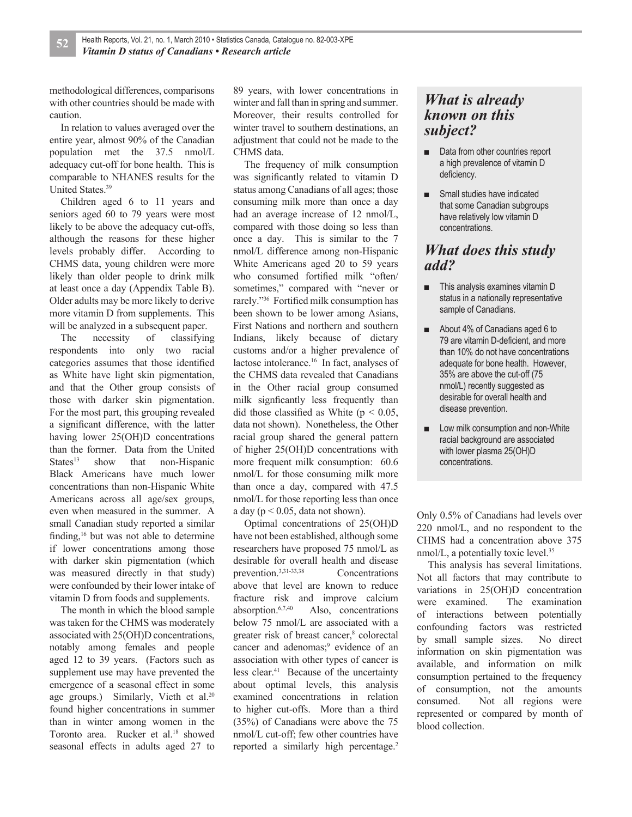methodological differences, comparisons with other countries should be made with caution.

In relation to values averaged over the entire year, almost 90% of the Canadian population met the 37.5 nmol/L adequacy cut-off for bone health. This is comparable to NHANES results for the United States.<sup>39</sup>

Children aged 6 to 11 years and seniors aged 60 to 79 years were most likely to be above the adequacy cut-offs, although the reasons for these higher levels probably differ. According to CHMS data, young children were more likely than older people to drink milk at least once a day (Appendix Table B). Older adults may be more likely to derive more vitamin D from supplements. This will be analyzed in a subsequent paper.

The necessity of classifying respondents into only two racial categories assumes that those identified as White have light skin pigmentation, and that the Other group consists of those with darker skin pigmentation. For the most part, this grouping revealed a significant difference, with the latter having lower 25(OH)D concentrations than the former. Data from the United States<sup>13</sup> show that non-Hispanic Black Americans have much lower concentrations than non-Hispanic White Americans across all age/sex groups, even when measured in the summer. A small Canadian study reported a similar finding, $16$  but was not able to determine if lower concentrations among those with darker skin pigmentation (which was measured directly in that study) were confounded by their lower intake of vitamin D from foods and supplements.

The month in which the blood sample was taken for the CHMS was moderately associated with 25(OH)D concentrations, notably among females and people aged 12 to 39 years. (Factors such as supplement use may have prevented the emergence of a seasonal effect in some age groups.) Similarly, Vieth et al. $20$ found higher concentrations in summer than in winter among women in the Toronto area. Rucker et al.<sup>18</sup> showed seasonal effects in adults aged 27 to

89 years, with lower concentrations in winter and fall than in spring and summer. Moreover, their results controlled for winter travel to southern destinations, an adjustment that could not be made to the CHMS data.

The frequency of milk consumption was significantly related to vitamin D status among Canadians of all ages; those consuming milk more than once a day had an average increase of 12 nmol/L, compared with those doing so less than once a day. This is similar to the 7 nmol/L difference among non-Hispanic White Americans aged 20 to 59 years who consumed fortified milk "often/ sometimes," compared with "never or rarely."<sup>36</sup> Fortified milk consumption has been shown to be lower among Asians, First Nations and northern and southern Indians, likely because of dietary customs and/or a higher prevalence of lactose intolerance.<sup>16</sup> In fact, analyses of the CHMS data revealed that Canadians in the Other racial group consumed milk signficantly less frequently than did those classified as White ( $p < 0.05$ , data not shown). Nonetheless, the Other racial group shared the general pattern of higher 25(OH)D concentrations with more frequent milk consumption: 60.6 nmol/L for those consuming milk more than once a day, compared with 47.5 nmol/L for those reporting less than once a day ( $p \le 0.05$ , data not shown).

Optimal concentrations of 25(OH)D have not been established, although some researchers have proposed 75 nmol/L as desirable for overall health and disease prevention.3,31-33,38 Concentrations above that level are known to reduce fracture risk and improve calcium absorption.6,7,40 Also, concentrations below 75 nmol/L are associated with a greater risk of breast cancer,<sup>8</sup> colorectal cancer and adenomas;<sup>9</sup> evidence of an association with other types of cancer is less clear.<sup>41</sup> Because of the uncertainty about optimal levels, this analysis examined concentrations in relation to higher cut-offs. More than a third (35%) of Canadians were above the 75 nmol/L cut-off; few other countries have reported a similarly high percentage.<sup>2</sup>

## *What is already known on this subject?*

- Data from other countries report a high prevalence of vitamin D deficiency.
- Small studies have indicated that some Canadian subgroups have relatively low vitamin D concentrations.

## *What does this study add?*

- This analysis examines vitamin **D** status in a nationally representative sample of Canadians.
- **■** About 4% of Canadians aged 6 to 79 are vitamin D-deficient, and more than 10% do not have concentrations adequate for bone health. However, 35% are above the cut-off (75 nmol/L) recently suggested as desirable for overall health and disease prevention.
- Low milk consumption and non-White racial background are associated with lower plasma 25(OH)D concentrations.

Only 0.5% of Canadians had levels over 220 nmol/L, and no respondent to the CHMS had a concentration above 375 nmol/L, a potentially toxic level.<sup>35</sup>

This analysis has several limitations. Not all factors that may contribute to variations in 25(OH)D concentration were examined. The examination of interactions between potentially confounding factors was restricted by small sample sizes. No direct information on skin pigmentation was available, and information on milk consumption pertained to the frequency of consumption, not the amounts consumed. Not all regions were represented or compared by month of blood collection.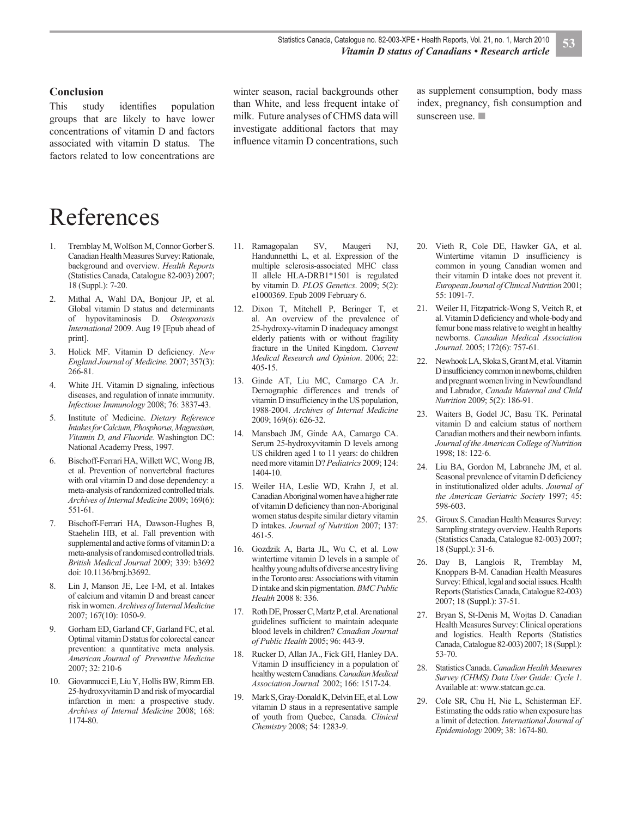#### **Conclusion**

This study identifies population groups that are likely to have lower concentrations of vitamin D and factors associated with vitamin D status. The factors related to low concentrations are winter season, racial backgrounds other than White, and less frequent intake of milk. Future analyses of CHMS data will investigate additional factors that may influence vitamin D concentrations, such as supplement consumption, body mass index, pregnancy, fish consumption and sunscreen use.

# References

- 1. Tremblay M, Wolfson M, Connor Gorber S. Canadian Health Measures Survey: Rationale, background and overview. *Health Reports* (Statistics Canada, Catalogue 82-003) 2007; 18 (Suppl.): 7-20.
- 2. Mithal A, Wahl DA, Bonjour JP, et al. Global vitamin D status and determinants of hypovitaminosis D. *Osteoporosis International* 2009. Aug 19 [Epub ahead of print].
- 3. Holick MF. Vitamin D deficiency*. New England Journal of Medicine.* 2007; 357(3): 266-81.
- 4. White JH. Vitamin D signaling, infectious diseases, and regulation of innate immunity. *Infectious Immunology* 2008; 76: 3837-43.
- 5. Institute of Medicine. *Dietary Reference Intakes for Calcium, Phosphorus, Magnesium, Vitamin D, and Fluoride.* Washington DC: National Academy Press, 1997.
- 6. Bischoff-Ferrari HA, Willett WC, Wong JB, et al. Prevention of nonvertebral fractures with oral vitamin D and dose dependency: a meta-analysis of randomized controlled trials. *Archives of Internal Medicine* 2009; 169(6): 551-61.
- 7. Bischoff-Ferrari HA, Dawson-Hughes B, Staehelin HB, et al. Fall prevention with supplemental and active forms of vitamin D: a meta-analysis of randomised controlled trials. *British Medical Journal* 2009; 339: b3692 doi: 10.1136/bmj.b3692.
- 8. Lin J, Manson JE, Lee I-M, et al. Intakes of calcium and vitamin D and breast cancer risk in women. *Archives of Internal Medicine*  2007; 167(10): 1050-9.
- 9. Gorham ED, Garland CF, Garland FC, et al. Optimal vitamin D status for colorectal cancer prevention: a quantitative meta analysis. *American Journal of Preventive Medicine*  2007; 32: 210-6
- 10. Giovannucci E, Liu Y, Hollis BW, Rimm EB. 25-hydroxyvitamin D and risk of myocardial infarction in men: a prospective study. *Archives of Internal Medicine* 2008; 168: 1174-80.
- 11. Ramagopalan SV, Maugeri NJ, Handunnetthi L, et al. Expression of the multiple sclerosis-associated MHC class II allele HLA-DRB1\*1501 is regulated by vitamin D. *PLOS Genetics*. 2009; 5(2): e1000369. Epub 2009 February 6.
- 12. Dixon T, Mitchell P, Beringer T, et al. An overview of the prevalence of 25-hydroxy-vitamin D inadequacy amongst elderly patients with or without fragility fracture in the United Kingdom. *Current Medical Research and Opinion*. 2006; 22: 405-15.
- 13. Ginde AT, Liu MC, Camargo CA Jr. Demographic differences and trends of vitamin D insufficiency in the US population, 1988-2004. *Archives of Internal Medicine*  2009; 169(6): 626-32.
- 14. Mansbach JM, Ginde AA, Camargo CA. Serum 25-hydroxyvitamin D levels among US children aged 1 to 11 years: do children need more vitamin D? *Pediatrics* 2009; 124: 1404-10.
- 15. Weiler HA, Leslie WD, Krahn J, et al. Canadian Aboriginal women have a higher rate of vitamin D deficiency than non-Aboriginal women status despite similar dietary vitamin D intakes. *Journal of Nutrition* 2007; 137: 461-5.
- 16. Gozdzik A, Barta JL, Wu C, et al. Low wintertime vitamin D levels in a sample of healthy young adults of diverse ancestry living in the Toronto area: Associations with vitamin D intake and skin pigmentation. *BMC Public Health* 2008 8: 336.
- 17. Roth DE, Prosser C, Martz P, et al. Are national guidelines sufficient to maintain adequate blood levels in children? *Canadian Journal of Public Health* 2005; 96: 443-9.
- 18. Rucker D, Allan JA., Fick GH, Hanley DA. Vitamin D insufficiency in a population of healthy western Canadians. *Canadian Medical Association Journal* 2002; 166: 1517-24.
- 19. Mark S, Gray-Donald K, Delvin EE, et al. Low vitamin D staus in a representative sample of youth from Quebec, Canada. *Clinical Chemistry* 2008; 54: 1283-9.
- 20. Vieth R, Cole DE, Hawker GA, et al. Wintertime vitamin D insufficiency is common in young Canadian women and their vitamin D intake does not prevent it. *European Journal of Clinical Nutrition* 2001; 55: 1091-7.
- 21. Weiler H, Fitzpatrick-Wong S, Veitch R, et al. Vitamin D deficiency and whole-body and femur bone mass relative to weight in healthy newborns. *Canadian Medical Association Journal.* 2005; 172(6): 757-61.
- 22. Newhook LA, Sloka S, Grant M, et al. Vitamin D insufficiency common in newborns, children and pregnant women living in Newfoundland and Labrador, *Canada Maternal and Child Nutrition* 2009; 5(2): 186-91.
- 23. Waiters B, Godel JC, Basu TK. Perinatal vitamin D and calcium status of northern Canadian mothers and their newborn infants. *Journal of the American College of Nutrition* 1998; 18: 122-6.
- 24. Liu BA, Gordon M, Labranche JM, et al. Seasonal prevalence of vitamin D deficiency in institutionalized older adults. *Journal of the American Geriatric Society* 1997; 45: 598-603.
- 25. Giroux S. Canadian Health Measures Survey: Sampling strategy overview. Health Reports (Statistics Canada, Catalogue 82-003) 2007; 18 (Suppl.): 31-6.
- 26. Day B, Langlois R, Tremblay M, Knoppers B-M. Canadian Health Measures Survey: Ethical, legal and social issues. Health Reports (Statistics Canada, Catalogue 82-003) 2007; 18 (Suppl.): 37-51.
- 27. Bryan S, St-Denis M, Wojtas D. Canadian Health Measures Survey: Clinical operations and logistics. Health Reports (Statistics Canada, Catalogue 82-003) 2007; 18 (Suppl.): 53-70.
- 28. Statistics Canada. *Canadian Health Measures Survey (CHMS) Data User Guide: Cycle 1*. Available at: www.statcan.gc.ca.
- 29. Cole SR, Chu H, Nie L, Schisterman EF. Estimating the odds ratio when exposure has a limit of detection. *International Journal of Epidemiology* 2009; 38: 1674-80.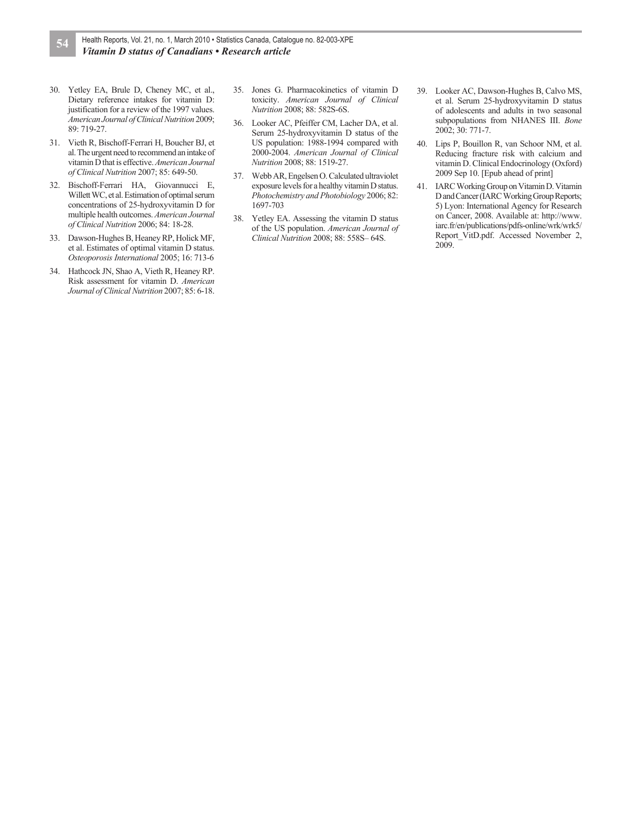- 30. Yetley EA, Brule D, Cheney MC, et al., Dietary reference intakes for vitamin D: justification for a review of the 1997 values. *American Journal of Clinical Nutrition* 2009; 89: 719-27.
- 31. Vieth R, Bischoff-Ferrari H, Boucher BJ, et al. The urgent need to recommend an intake of vitamin D that is effective. *American Journal of Clinical Nutrition* 2007; 85: 649-50.
- 32. Bischoff-Ferrari HA, Giovannucci E, Willett WC, et al. Estimation of optimal serum concentrations of 25-hydroxyvitamin D for multiple health outcomes. *American Journal of Clinical Nutrition* 2006; 84: 18-28.
- 33. Dawson-Hughes B, Heaney RP, Holick MF, et al. Estimates of optimal vitamin D status. *Osteoporosis International* 2005; 16: 713-6
- 34. Hathcock JN, Shao A, Vieth R, Heaney RP. Risk assessment for vitamin D. *American Journal of Clinical Nutrition* 2007; 85: 6-18.
- 35. Jones G. Pharmacokinetics of vitamin D toxicity. *American Journal of Clinical Nutrition* 2008; 88: 582S-6S.
- 36. Looker AC, Pfeiffer CM, Lacher DA, et al. Serum 25-hydroxyvitamin D status of the US population: 1988-1994 compared with 2000-2004. *American Journal of Clinical Nutrition* 2008; 88: 1519-27.
- 37. Webb AR, Engelsen O. Calculated ultraviolet exposure levels for a healthy vitamin D status. *Photochemistry and Photobiology* 2006; 82: 1697-703
- 38. Yetley EA. Assessing the vitamin D status of the US population. *American Journal of Clinical Nutrition* 2008; 88: 558S– 64S.
- 39. Looker AC, Dawson-Hughes B, Calvo MS, et al. Serum 25-hydroxyvitamin D status of adolescents and adults in two seasonal subpopulations from NHANES III. *Bone*  2002; 30: 771-7.
- 40. Lips P, Bouillon R, van Schoor NM, et al. Reducing fracture risk with calcium and vitamin D. Clinical Endocrinology (Oxford) 2009 Sep 10. [Epub ahead of print]
- 41. IARC Working Group on Vitamin D. Vitamin D and Cancer (IARC Working Group Reports; 5) Lyon: International Agency for Research on Cancer, 2008. Available at: http://www. iarc.fr/en/publications/pdfs-online/wrk/wrk5/ Report\_VitD.pdf. Accessed November 2, 2009.